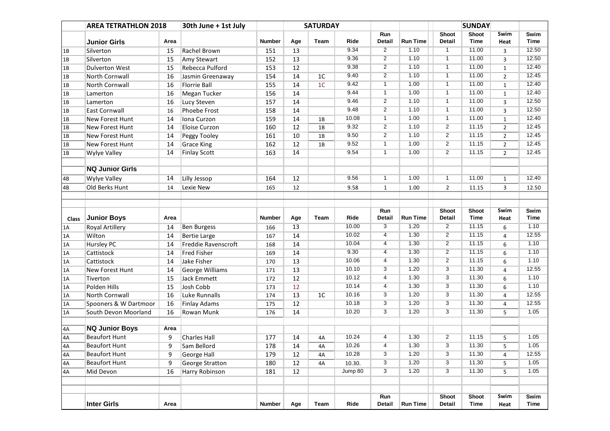|              | <b>AREA TETRATHLON 2018</b> |      | 30th June + 1st July   |               |     | <b>SATURDAY</b> |               |                    |                         |                                 | <b>SUNDAY</b>        |                |              |
|--------------|-----------------------------|------|------------------------|---------------|-----|-----------------|---------------|--------------------|-------------------------|---------------------------------|----------------------|----------------|--------------|
|              |                             |      |                        |               |     |                 |               | Run                |                         | <b>Shoot</b>                    | <b>Shoot</b>         | Swim           | Swim         |
|              | <b>Junior Girls</b>         | Area |                        | <b>Number</b> | Age | Team            | Ride          | <b>Detail</b>      | <b>Run Time</b>         | <b>Detail</b>                   | <b>Time</b>          | Heat           | <b>Time</b>  |
| 1B           | Silverton                   | 15   | Rachel Brown           | 151           | 13  |                 | 9.34          | $\overline{2}$     | 1.10                    | $\overline{1}$                  | 11.00                | 3              | 12.50        |
| 1B           | Silverton                   | 15   | Amy Stewart            | 152           | 13  |                 | 9.36          | $\overline{2}$     | 1.10                    | $\overline{1}$                  | 11.00                | 3              | 12.50        |
| 1B           | <b>Dulverton West</b>       | 15   | Rebecca Pulford        | 153           | 12  |                 | 9.38          | $\overline{2}$     | 1.10                    | $\overline{1}$                  | 11.00                | $\mathbf{1}$   | 12.40        |
| 1B           | North Cornwall              | 16   | Jasmin Greenaway       | 154           | 14  | 1 <sup>C</sup>  | 9.40          | $\overline{2}$     | 1.10                    | $\overline{1}$                  | 11.00                | $\overline{2}$ | 12.45        |
| 1B           | <b>North Cornwall</b>       | 16   | <b>Florrie Ball</b>    | 155           | 14  | 1 <sup>C</sup>  | 9.42          | $\mathbf{1}$       | 1.00                    | $\mathbf{1}$                    | 11.00                | $\mathbf{1}$   | 12.40        |
| 1B           | Lamerton                    | 16   | <b>Megan Tucker</b>    | 156           | 14  |                 | 9.44          | $\overline{1}$     | 1.00                    | $\overline{1}$                  | 11.00                | $\mathbf{1}$   | 12.40        |
| 1B           | Lamerton                    | 16   | Lucy Steven            | 157           | 14  |                 | 9.46          | $\overline{2}$     | 1.10                    | $\mathbf{1}$                    | 11.00                | 3              | 12.50        |
| 1B           | East Cornwall               | 16   | Phoebe Frost           | 158           | 14  |                 | 9.48          | $\overline{2}$     | 1.10                    | $\mathbf{1}$                    | 11.00                | 3              | 12.50        |
| 1B           | <b>New Forest Hunt</b>      | 14   | Iona Curzon            | 159           | 14  | 1B              | 10.08         | $\mathbf{1}$       | 1.00                    | $\overline{1}$                  | 11.00                | $\mathbf{1}$   | 12.40        |
| 1B           | <b>New Forest Hunt</b>      | 14   | <b>Eloise Curzon</b>   | 160           | 12  | 1B              | 9.32          | $\overline{2}$     | 1.10                    | $\overline{2}$                  | 11.15                | $\overline{2}$ | 12.45        |
| 1B           | <b>New Forest Hunt</b>      | 14   | Peggy Tooley           | 161           | 10  | 1B              | 9.50          | $\overline{2}$     | 1.10                    | $\overline{2}$                  | 11.15                | $\overline{2}$ | 12.45        |
| 1B           | New Forest Hunt             | 14   | <b>Grace King</b>      | 162           | 12  | 1B              | 9.52          | $\overline{1}$     | 1.00                    | $\overline{2}$                  | 11.15                | $\overline{2}$ | 12.45        |
| 1B           | <b>Wylye Valley</b>         | 14   | <b>Finlay Scott</b>    | 163           | 14  |                 | 9.54          | $\mathbf{1}$       | 1.00                    | $\overline{2}$                  | 11.15                | $\overline{2}$ | 12.45        |
|              | <b>NQ Junior Girls</b>      |      |                        |               |     |                 |               |                    |                         |                                 |                      |                |              |
| 4B           | <b>Wylye Valley</b>         | 14   | Lilly Jessop           | 164           | 12  |                 | 9.56          | $\mathbf{1}$       | 1.00                    | $\mathbf{1}$                    | 11.00                | $\mathbf{1}$   | 12.40        |
| 4B           | Old Berks Hunt              | 14   | Lexie New              | 165           | 12  |                 | 9.58          | $\mathbf{1}$       | 1.00                    | $\overline{2}$                  | 11.15                | 3              | 12.50        |
|              |                             |      |                        |               |     |                 |               |                    |                         |                                 |                      |                |              |
|              |                             |      |                        |               |     |                 |               |                    |                         |                                 |                      |                |              |
|              |                             |      |                        |               |     |                 |               | Run                |                         | Shoot                           | <b>Shoot</b>         | Swim           | Swim         |
| <b>Class</b> | Junior Boys                 | Area |                        | <b>Number</b> | Age | Team            | Ride<br>10.00 | <b>Detail</b><br>3 | <b>Run Time</b><br>1.20 | <b>Detail</b><br>$\overline{2}$ | <b>Time</b><br>11.15 | Heat           | Time         |
| 1A           | <b>Royal Artillery</b>      | 14   | <b>Ben Burgess</b>     | 166           | 13  |                 |               |                    |                         |                                 |                      | 6              | 1.10         |
| 1A           | Wilton                      | 14   | <b>Bertie Large</b>    | 167           | 14  |                 | 10.02         | 4                  | 1.30                    | $\overline{2}$                  | 11.15                | 4              | 12.55        |
| 1A           | <b>Hursley PC</b>           | 14   | Freddie Ravenscroft    | 168           | 14  |                 | 10.04         | $\overline{4}$     | 1.30                    | $\overline{2}$                  | 11.15                | 6              | 1.10         |
| 1A           | Cattistock                  | 14   | <b>Fred Fisher</b>     | 169           | 14  |                 | 9.30          | $\overline{4}$     | 1.30                    | $\overline{2}$                  | 11.15                | 6              | 1.10         |
| 1A           | Cattistock                  | 14   | Jake Fisher            | 170           | 13  |                 | 10.06         | 4                  | 1.30                    | $\overline{2}$                  | 11.15                | 6              | 1.10         |
| 1A           | New Forest Hunt             | 14   | <b>George Williams</b> | 171           | 13  |                 | 10.10         | 3                  | 1.20                    | 3                               | 11.30                | $\overline{4}$ | 12.55        |
| 1A           | Tiverton                    | 15   | Jack Emmett            | 172           | 12  |                 | 10.12         | 4                  | 1.30                    | $\overline{3}$                  | 11.30                | 6              | 1.10         |
| 1A           | Polden Hills                | 15   | Josh Cobb              | 173           | 12  |                 | 10.14         | 4                  | 1.30                    | 3                               | 11.30                | 6              | 1.10         |
| 1A           | <b>North Cornwall</b>       | 16   | Luke Runnalls          | 174           | 13  | 1 <sup>C</sup>  | 10.16         | 3                  | 1.20                    | $\overline{3}$                  | 11.30                | 4              | 12.55        |
| 1A           | Spooners & W Dartmoor       | 16   | <b>Finlay Adams</b>    | 175           | 12  |                 | 10.18         | $\overline{3}$     | 1.20                    | $\overline{3}$                  | 11.30                | 4              | 12.55        |
| 1A           | South Devon Moorland        | 16   | Rowan Munk             | 176           | 14  |                 | 10.20         | $\overline{3}$     | 1.20                    | 3                               | 11.30                | 5              | 1.05         |
| 4A           | <b>NQ Junior Boys</b>       | Area |                        |               |     |                 |               |                    |                         |                                 |                      |                |              |
| 4A           | <b>Beaufort Hunt</b>        | 9    | <b>Charles Hall</b>    | 177           | 14  | 4A              | 10.24         | 4                  | 1.30                    | $\overline{2}$                  | 11.15                | 5              | 1.05         |
| 4A           | <b>Beaufort Hunt</b>        | 9    | Sam Bellord            | 178           | 14  | 4А              | 10.26         |                    | 1.30                    | 3                               | 11.30                |                | $1.05$       |
| 4A           | <b>Beaufort Hunt</b>        | 9    | <b>George Hall</b>     | 179           | 12  | 4A              | 10.28         | $\overline{3}$     | 1.20                    | 3                               | 11.30                | $\overline{4}$ | 12.55        |
| 4A           | <b>Beaufort Hunt</b>        | 9    | <b>George Stratton</b> | 180           | 12  | 4A              | 10.30.        | 3                  | 1.20                    | $\overline{3}$                  | 11.30                | 5              | 1.05         |
|              |                             |      |                        |               |     |                 | Jump 80       | $\overline{3}$     | 1.20                    | $\overline{3}$                  | 11.30                |                | 1.05         |
| 4A           | Mid Devon                   | 16   | Harry Robinson         | 181           | 12  |                 |               |                    |                         |                                 |                      | 5              |              |
|              |                             |      |                        |               |     |                 |               |                    |                         |                                 |                      |                |              |
|              | <b>Inter Girls</b>          | Area |                        | <b>Number</b> | Age | Team            | Ride          | Run<br>Detail      | <b>Run Time</b>         | Shoot<br>Detail                 | Shoot<br>Time        | Swim<br>Heat   | Swim<br>Time |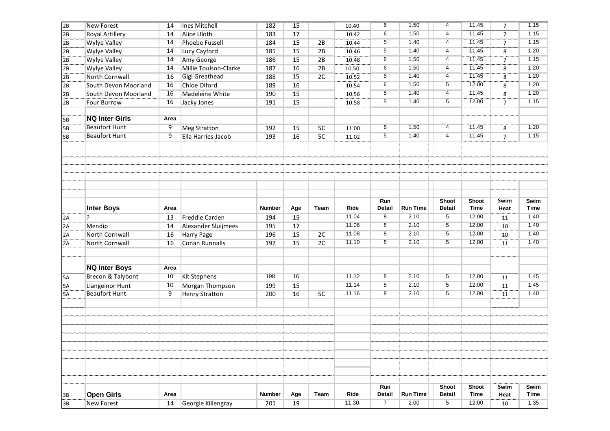| 2B | <b>New Forest</b>     | 14   | <b>Ines Mitchell</b>  | 182           | 15  |                | 10.40. | 6              | 1.50            | $\overline{4}$  | 11.45                       | $\overline{7}$               | 1.15                |
|----|-----------------------|------|-----------------------|---------------|-----|----------------|--------|----------------|-----------------|-----------------|-----------------------------|------------------------------|---------------------|
| 2B | Royal Artillery       | 14   | <b>Alice Uloth</b>    | 183           | 17  |                | 10.42  | 6              | 1.50            | $\overline{4}$  | 11.45                       | $\overline{7}$               | 1.15                |
| 2B | <b>Wylye Valley</b>   | 14   | <b>Phoebe Fussell</b> | 184           | 15  | 2B             | 10.44  | $\overline{5}$ | 1.40            | $\overline{4}$  | 11.45                       | $\overline{7}$               | 1.15                |
| 2B | <b>Wylye Valley</b>   | 14   | Lucy Cayford          | 185           | 15  | 2B             | 10.46  | 5              | 1.40            | $\overline{4}$  | 11.45                       | $\overline{\overline{\bf8}}$ | 1.20                |
| 2B | <b>Wylye Valley</b>   | 14   | Amy George            | 186           | 15  | 2B             | 10.48  | 6              | 1.50            | $\overline{4}$  | 11.45                       | $\overline{7}$               | 1.15                |
| 2B | <b>Wylye Valley</b>   | 14   | Millie Toulson-Clarke | 187           | 16  | 2B             | 10.50. | 6              | 1.50            | $\overline{4}$  | 11.45                       | 8                            | 1.20                |
| 2B | North Cornwall        | 16   | Gigi Greathead        | 188           | 15  | 2C             | 10.52  | 5              | 1.40            | $\overline{4}$  | 11.45                       | 8                            | 1.20                |
| 2B | South Devon Moorland  | 16   | <b>Chloe Olford</b>   | 189           | 16  |                | 10.54  | 6              | 1.50            | 5               | 12.00                       | 8                            | 1.20                |
| 2B | South Devon Moorland  | 16   | Madeleine White       | 190           | 15  |                | 10.56  | 5              | 1.40            | $\overline{4}$  | 11.45                       | 8                            | 1.20                |
| 2B | Four Burrow           | 16   | Jacky Jones           | 191           | 15  |                | 10.58  | 5              | 1.40            | 5               | 12.00                       | $\overline{7}$               | 1.15                |
|    |                       |      |                       |               |     |                |        |                |                 |                 |                             |                              |                     |
| 5B | <b>NQ Inter Girls</b> | Area |                       |               |     |                |        |                |                 |                 |                             |                              |                     |
| 5B | <b>Beaufort Hunt</b>  | 9    | <b>Meg Stratton</b>   | 192           | 15  | 5 <sub>C</sub> | 11.00  | 6              | 1.50            | 4               | 11.45                       | 8                            | 1.20                |
| 5B | <b>Beaufort Hunt</b>  | 9    | Ella Harries-Jacob    | 193           | 16  | 5C             | 11.02  | 5              | 1.40            | $\overline{4}$  | 11.45                       | $\overline{7}$               | 1.15                |
|    |                       |      |                       |               |     |                |        |                |                 |                 |                             |                              |                     |
|    |                       |      |                       |               |     |                |        |                |                 |                 |                             |                              |                     |
|    |                       |      |                       |               |     |                |        |                |                 |                 |                             |                              |                     |
|    |                       |      |                       |               |     |                |        |                |                 |                 |                             |                              |                     |
|    |                       |      |                       |               |     |                |        |                |                 |                 |                             |                              |                     |
|    |                       |      |                       |               |     |                |        |                |                 |                 |                             |                              |                     |
|    |                       |      |                       |               |     |                |        |                |                 |                 |                             |                              |                     |
|    |                       |      |                       |               |     |                |        | Run            |                 | Shoot           | <b>Shoot</b>                | Swim                         | Swim                |
|    | <b>Inter Boys</b>     | Area |                       | <b>Number</b> | Age | Team           | Ride   | <b>Detail</b>  | <b>Run Time</b> | Detail          | <b>Time</b>                 | Heat                         | <b>Time</b>         |
| 2A | ?                     | 13   | <b>Freddie Carden</b> | 194           | 15  |                | 11.04  | 8              | 2.10            | $\overline{5}$  | 12.00                       | 11                           | 1.40                |
| 2A | Mendip                | 14   | Alexander Sluijmees   | 195           | 17  |                | 11.06  | 8              | 2.10            | 5               | 12.00                       | 10                           | 1.40                |
| 2A | North Cornwall        | 16   | Harry Page            | 196           | 15  | 2C             | 11.08  | 8              | 2.10            | $\overline{5}$  | 12.00                       | 10                           | 1.40                |
| 2A | North Cornwall        | 16   | <b>Conan Runnalls</b> | 197           | 15  | 2C             | 11.10  | $\overline{8}$ | 2.10            | $\overline{5}$  | 12.00                       | 11                           | 1.40                |
|    |                       |      |                       |               |     |                |        |                |                 |                 |                             |                              |                     |
|    |                       |      |                       |               |     |                |        |                |                 |                 |                             |                              |                     |
|    | <b>NQ Inter Boys</b>  | Area |                       |               |     |                |        |                |                 |                 |                             |                              |                     |
| 5A | Brecon & Talybont     | 10   | <b>Kit Stephens</b>   | 198           | 16  |                | 11.12  | 8              | 2.10            | $5\overline{)}$ | 12.00                       | $11\,$                       | 1.45                |
| 5A | Llangeinor Hunt       | 10   | Morgan Thompson       | 199           | 15  |                | 11.14  | 8              | 2.10            | $\overline{5}$  | 12.00                       | $11\,$                       | 1.45                |
| 5A | <b>Beaufort Hunt</b>  | 9    | <b>Henry Stratton</b> | 200           | 16  | 5C             | 11.16  | 8              | 2.10            | 5               | 12.00                       | 11                           | 1.40                |
|    |                       |      |                       |               |     |                |        |                |                 |                 |                             |                              |                     |
|    |                       |      |                       |               |     |                |        |                |                 |                 |                             |                              |                     |
|    |                       |      |                       |               |     |                |        |                |                 |                 |                             |                              |                     |
|    |                       |      |                       |               |     |                |        |                |                 |                 |                             |                              |                     |
|    |                       |      |                       |               |     |                |        |                |                 |                 |                             |                              |                     |
|    |                       |      |                       |               |     |                |        |                |                 |                 |                             |                              |                     |
|    |                       |      |                       |               |     |                |        |                |                 |                 |                             |                              |                     |
|    |                       |      |                       |               |     |                |        |                |                 |                 |                             |                              |                     |
|    |                       |      |                       |               |     |                |        |                |                 |                 |                             |                              |                     |
|    |                       |      |                       |               |     |                |        |                |                 |                 |                             |                              |                     |
|    | <b>Open Girls</b>     | Area |                       | <b>Number</b> | Age | Team           | Ride   | Run<br>Detail  | <b>Run Time</b> | Shoot<br>Detail | <b>Shoot</b><br><b>Time</b> | Swim<br>Heat                 | Swim<br><b>Time</b> |
| 3B |                       |      |                       |               |     |                |        |                |                 |                 |                             |                              |                     |
| 3B | <b>New Forest</b>     | 14   | Georgie Killengray    | 201           | 19  |                | 11.30. | $\overline{7}$ | 2.00            | $5\overline{)}$ | 12.00                       | 10                           | 1.35                |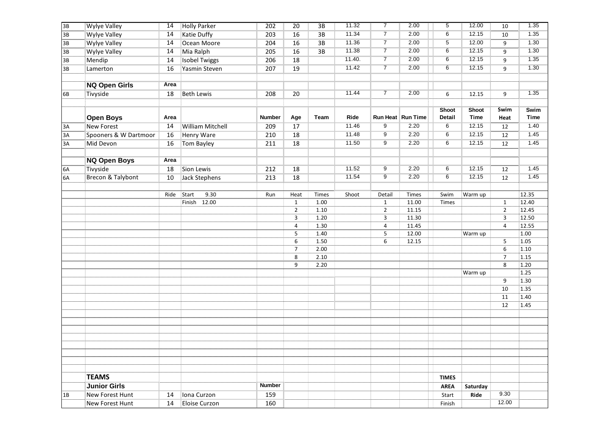| 11.34<br>$\overline{7}$<br>12.15<br>2.00<br>$6\overline{6}$<br>1.35<br><b>Wylye Valley</b><br>14<br><b>Katie Duffy</b><br>16<br>3B<br>203<br>10<br>11.36<br>$\overline{7}$<br>12.00<br>2.00<br>$\overline{5}$<br>1.30<br><b>Wylye Valley</b><br>14<br>16<br>Ocean Moore<br>204<br>3B<br>9<br>11.38<br>$\overline{7}$<br>12.15<br>16<br>2.00<br>$6\overline{6}$<br>1.30<br><b>Wylye Valley</b><br>14<br>Mia Ralph<br>205<br>3B<br>9<br>11.40.<br>2.00<br>12.15<br>$\overline{7}$<br>$6\overline{6}$<br>1.35<br>Mendip<br>18<br><b>Isobel Twiggs</b><br>206<br>9<br>14<br>11.42<br>$\overline{7}$<br>2.00<br>6<br>12.15<br>$\overline{9}$<br>1.30<br>16<br>Yasmin Steven<br>207<br>19<br>Lamerton<br><b>NQ Open Girls</b><br>Area<br>$\overline{7}$<br>11.44<br>2.00<br>1.35<br>Tivyside<br><b>Beth Lewis</b><br>18<br>208<br>20<br>9<br>6<br>12.15<br>Swim<br>Shoot<br><b>Shoot</b><br>Swim<br><b>Time</b><br>Ride<br>Run Heat   Run Time<br>Detail<br><b>Time</b><br><b>Open Boys</b><br><b>Number</b><br>Age<br>Team<br>Heat<br>Area<br>11.46<br>$\overline{9}$<br>2.20<br>6<br>12.15<br>1.40<br>14<br><b>New Forest</b><br><b>William Mitchell</b><br>209<br>17<br>3A<br>12<br>11.48<br>9<br>2.20<br>$6\overline{6}$<br>12.15<br>1.45<br>Spooners & W Dartmoor<br>16<br><b>Henry Ware</b><br>210<br>18<br>3A<br>12<br>11.50<br>9<br>2.20<br>6<br>12.15<br>1.45<br><b>Mid Devon</b><br>16<br><b>Tom Bayley</b><br>211<br>18<br>3A<br>12<br><b>NQ Open Boys</b><br>Area<br>11.52<br>$\overline{9}$<br>2.20<br>6<br>12.15<br>1.45<br>Tivyside<br>Sion Lewis<br>18<br>18<br>212<br>12<br>Brecon & Talybont<br>11.54<br>6<br>12.15<br>1.45<br>9<br>2.20<br>Jack Stephens<br>18<br>10<br>213<br>12<br>12.35<br>9.30<br>Ride<br>Start<br>Shoot<br>Detail<br>Swim<br>Warm up<br>Run<br>Heat<br>Times<br>Times<br>12.40<br>Finish 12.00<br>1.00<br>$\mathbf{1}$<br>$\mathbf{1}$<br>$\mathbf{1}$<br>11.00<br>Times<br>12.45<br>$1.10\,$<br>$\overline{2}$<br>$\overline{2}$<br>$\overline{2}$<br>11.15<br>1.20<br>11.30<br>3<br>12.50<br>3<br>3<br>$\overline{\mathbf{4}}$<br>$\overline{4}$<br>12.55<br>1.30<br>4<br>11.45<br>5<br>1.40<br>5<br>12.00<br>1.00<br>Warm up<br>$\overline{5}$<br>$\overline{1.05}$<br>6<br>1.50<br>6<br>12.15<br>2.00<br>$\sf 6$<br>$\overline{7}$<br>$1.10$<br>8<br>2.10<br>$\overline{7}$<br>1.15<br>$\overline{8}$<br>9<br>$1.20$<br>2.20<br>1.25<br>Warm up<br>9<br>1.30<br>10<br>1.35<br>11<br>1.40<br>12<br>1.45<br><b>TEAMS</b><br><b>TIMES</b><br><b>Number</b><br><b>Junior Girls</b><br><b>AREA</b><br>Saturday<br>159<br>9.30<br><b>New Forest Hunt</b><br>Iona Curzon<br>14<br>Ride<br>Start<br>12.00<br><b>New Forest Hunt</b><br>Eloise Curzon<br>160<br>14<br>Finish | 3B | <b>Wylye Valley</b> | 14 | <b>Holly Parker</b> | 202 | $\overline{20}$ | $\overline{3B}$ | 11.32 | $\overline{7}$ | 2.00 | $5\overline{)}$ | 12.00 | $10\,$ | 1.35 |
|-----------------------------------------------------------------------------------------------------------------------------------------------------------------------------------------------------------------------------------------------------------------------------------------------------------------------------------------------------------------------------------------------------------------------------------------------------------------------------------------------------------------------------------------------------------------------------------------------------------------------------------------------------------------------------------------------------------------------------------------------------------------------------------------------------------------------------------------------------------------------------------------------------------------------------------------------------------------------------------------------------------------------------------------------------------------------------------------------------------------------------------------------------------------------------------------------------------------------------------------------------------------------------------------------------------------------------------------------------------------------------------------------------------------------------------------------------------------------------------------------------------------------------------------------------------------------------------------------------------------------------------------------------------------------------------------------------------------------------------------------------------------------------------------------------------------------------------------------------------------------------------------------------------------------------------------------------------------------------------------------------------------------------------------------------------------------------------------------------------------------------------------------------------------------------------------------------------------------------------------------------------------------------------------------------------------------------------------------------------------------------------------------------------------------------------------------------------------------------------------------------------------------------------------------------------------------------------------------------------------------------------------------------------------------------------------------------------|----|---------------------|----|---------------------|-----|-----------------|-----------------|-------|----------------|------|-----------------|-------|--------|------|
|                                                                                                                                                                                                                                                                                                                                                                                                                                                                                                                                                                                                                                                                                                                                                                                                                                                                                                                                                                                                                                                                                                                                                                                                                                                                                                                                                                                                                                                                                                                                                                                                                                                                                                                                                                                                                                                                                                                                                                                                                                                                                                                                                                                                                                                                                                                                                                                                                                                                                                                                                                                                                                                                                                           | 3B |                     |    |                     |     |                 |                 |       |                |      |                 |       |        |      |
|                                                                                                                                                                                                                                                                                                                                                                                                                                                                                                                                                                                                                                                                                                                                                                                                                                                                                                                                                                                                                                                                                                                                                                                                                                                                                                                                                                                                                                                                                                                                                                                                                                                                                                                                                                                                                                                                                                                                                                                                                                                                                                                                                                                                                                                                                                                                                                                                                                                                                                                                                                                                                                                                                                           | 3B |                     |    |                     |     |                 |                 |       |                |      |                 |       |        |      |
|                                                                                                                                                                                                                                                                                                                                                                                                                                                                                                                                                                                                                                                                                                                                                                                                                                                                                                                                                                                                                                                                                                                                                                                                                                                                                                                                                                                                                                                                                                                                                                                                                                                                                                                                                                                                                                                                                                                                                                                                                                                                                                                                                                                                                                                                                                                                                                                                                                                                                                                                                                                                                                                                                                           | 3B |                     |    |                     |     |                 |                 |       |                |      |                 |       |        |      |
|                                                                                                                                                                                                                                                                                                                                                                                                                                                                                                                                                                                                                                                                                                                                                                                                                                                                                                                                                                                                                                                                                                                                                                                                                                                                                                                                                                                                                                                                                                                                                                                                                                                                                                                                                                                                                                                                                                                                                                                                                                                                                                                                                                                                                                                                                                                                                                                                                                                                                                                                                                                                                                                                                                           | 3B |                     |    |                     |     |                 |                 |       |                |      |                 |       |        |      |
|                                                                                                                                                                                                                                                                                                                                                                                                                                                                                                                                                                                                                                                                                                                                                                                                                                                                                                                                                                                                                                                                                                                                                                                                                                                                                                                                                                                                                                                                                                                                                                                                                                                                                                                                                                                                                                                                                                                                                                                                                                                                                                                                                                                                                                                                                                                                                                                                                                                                                                                                                                                                                                                                                                           | 3B |                     |    |                     |     |                 |                 |       |                |      |                 |       |        |      |
|                                                                                                                                                                                                                                                                                                                                                                                                                                                                                                                                                                                                                                                                                                                                                                                                                                                                                                                                                                                                                                                                                                                                                                                                                                                                                                                                                                                                                                                                                                                                                                                                                                                                                                                                                                                                                                                                                                                                                                                                                                                                                                                                                                                                                                                                                                                                                                                                                                                                                                                                                                                                                                                                                                           |    |                     |    |                     |     |                 |                 |       |                |      |                 |       |        |      |
|                                                                                                                                                                                                                                                                                                                                                                                                                                                                                                                                                                                                                                                                                                                                                                                                                                                                                                                                                                                                                                                                                                                                                                                                                                                                                                                                                                                                                                                                                                                                                                                                                                                                                                                                                                                                                                                                                                                                                                                                                                                                                                                                                                                                                                                                                                                                                                                                                                                                                                                                                                                                                                                                                                           |    |                     |    |                     |     |                 |                 |       |                |      |                 |       |        |      |
|                                                                                                                                                                                                                                                                                                                                                                                                                                                                                                                                                                                                                                                                                                                                                                                                                                                                                                                                                                                                                                                                                                                                                                                                                                                                                                                                                                                                                                                                                                                                                                                                                                                                                                                                                                                                                                                                                                                                                                                                                                                                                                                                                                                                                                                                                                                                                                                                                                                                                                                                                                                                                                                                                                           | 6B |                     |    |                     |     |                 |                 |       |                |      |                 |       |        |      |
|                                                                                                                                                                                                                                                                                                                                                                                                                                                                                                                                                                                                                                                                                                                                                                                                                                                                                                                                                                                                                                                                                                                                                                                                                                                                                                                                                                                                                                                                                                                                                                                                                                                                                                                                                                                                                                                                                                                                                                                                                                                                                                                                                                                                                                                                                                                                                                                                                                                                                                                                                                                                                                                                                                           |    |                     |    |                     |     |                 |                 |       |                |      |                 |       |        |      |
|                                                                                                                                                                                                                                                                                                                                                                                                                                                                                                                                                                                                                                                                                                                                                                                                                                                                                                                                                                                                                                                                                                                                                                                                                                                                                                                                                                                                                                                                                                                                                                                                                                                                                                                                                                                                                                                                                                                                                                                                                                                                                                                                                                                                                                                                                                                                                                                                                                                                                                                                                                                                                                                                                                           |    |                     |    |                     |     |                 |                 |       |                |      |                 |       |        |      |
|                                                                                                                                                                                                                                                                                                                                                                                                                                                                                                                                                                                                                                                                                                                                                                                                                                                                                                                                                                                                                                                                                                                                                                                                                                                                                                                                                                                                                                                                                                                                                                                                                                                                                                                                                                                                                                                                                                                                                                                                                                                                                                                                                                                                                                                                                                                                                                                                                                                                                                                                                                                                                                                                                                           |    |                     |    |                     |     |                 |                 |       |                |      |                 |       |        |      |
|                                                                                                                                                                                                                                                                                                                                                                                                                                                                                                                                                                                                                                                                                                                                                                                                                                                                                                                                                                                                                                                                                                                                                                                                                                                                                                                                                                                                                                                                                                                                                                                                                                                                                                                                                                                                                                                                                                                                                                                                                                                                                                                                                                                                                                                                                                                                                                                                                                                                                                                                                                                                                                                                                                           |    |                     |    |                     |     |                 |                 |       |                |      |                 |       |        |      |
|                                                                                                                                                                                                                                                                                                                                                                                                                                                                                                                                                                                                                                                                                                                                                                                                                                                                                                                                                                                                                                                                                                                                                                                                                                                                                                                                                                                                                                                                                                                                                                                                                                                                                                                                                                                                                                                                                                                                                                                                                                                                                                                                                                                                                                                                                                                                                                                                                                                                                                                                                                                                                                                                                                           |    |                     |    |                     |     |                 |                 |       |                |      |                 |       |        |      |
|                                                                                                                                                                                                                                                                                                                                                                                                                                                                                                                                                                                                                                                                                                                                                                                                                                                                                                                                                                                                                                                                                                                                                                                                                                                                                                                                                                                                                                                                                                                                                                                                                                                                                                                                                                                                                                                                                                                                                                                                                                                                                                                                                                                                                                                                                                                                                                                                                                                                                                                                                                                                                                                                                                           |    |                     |    |                     |     |                 |                 |       |                |      |                 |       |        |      |
|                                                                                                                                                                                                                                                                                                                                                                                                                                                                                                                                                                                                                                                                                                                                                                                                                                                                                                                                                                                                                                                                                                                                                                                                                                                                                                                                                                                                                                                                                                                                                                                                                                                                                                                                                                                                                                                                                                                                                                                                                                                                                                                                                                                                                                                                                                                                                                                                                                                                                                                                                                                                                                                                                                           |    |                     |    |                     |     |                 |                 |       |                |      |                 |       |        |      |
|                                                                                                                                                                                                                                                                                                                                                                                                                                                                                                                                                                                                                                                                                                                                                                                                                                                                                                                                                                                                                                                                                                                                                                                                                                                                                                                                                                                                                                                                                                                                                                                                                                                                                                                                                                                                                                                                                                                                                                                                                                                                                                                                                                                                                                                                                                                                                                                                                                                                                                                                                                                                                                                                                                           | 6A |                     |    |                     |     |                 |                 |       |                |      |                 |       |        |      |
|                                                                                                                                                                                                                                                                                                                                                                                                                                                                                                                                                                                                                                                                                                                                                                                                                                                                                                                                                                                                                                                                                                                                                                                                                                                                                                                                                                                                                                                                                                                                                                                                                                                                                                                                                                                                                                                                                                                                                                                                                                                                                                                                                                                                                                                                                                                                                                                                                                                                                                                                                                                                                                                                                                           | 6A |                     |    |                     |     |                 |                 |       |                |      |                 |       |        |      |
|                                                                                                                                                                                                                                                                                                                                                                                                                                                                                                                                                                                                                                                                                                                                                                                                                                                                                                                                                                                                                                                                                                                                                                                                                                                                                                                                                                                                                                                                                                                                                                                                                                                                                                                                                                                                                                                                                                                                                                                                                                                                                                                                                                                                                                                                                                                                                                                                                                                                                                                                                                                                                                                                                                           |    |                     |    |                     |     |                 |                 |       |                |      |                 |       |        |      |
|                                                                                                                                                                                                                                                                                                                                                                                                                                                                                                                                                                                                                                                                                                                                                                                                                                                                                                                                                                                                                                                                                                                                                                                                                                                                                                                                                                                                                                                                                                                                                                                                                                                                                                                                                                                                                                                                                                                                                                                                                                                                                                                                                                                                                                                                                                                                                                                                                                                                                                                                                                                                                                                                                                           |    |                     |    |                     |     |                 |                 |       |                |      |                 |       |        |      |
|                                                                                                                                                                                                                                                                                                                                                                                                                                                                                                                                                                                                                                                                                                                                                                                                                                                                                                                                                                                                                                                                                                                                                                                                                                                                                                                                                                                                                                                                                                                                                                                                                                                                                                                                                                                                                                                                                                                                                                                                                                                                                                                                                                                                                                                                                                                                                                                                                                                                                                                                                                                                                                                                                                           |    |                     |    |                     |     |                 |                 |       |                |      |                 |       |        |      |
|                                                                                                                                                                                                                                                                                                                                                                                                                                                                                                                                                                                                                                                                                                                                                                                                                                                                                                                                                                                                                                                                                                                                                                                                                                                                                                                                                                                                                                                                                                                                                                                                                                                                                                                                                                                                                                                                                                                                                                                                                                                                                                                                                                                                                                                                                                                                                                                                                                                                                                                                                                                                                                                                                                           |    |                     |    |                     |     |                 |                 |       |                |      |                 |       |        |      |
|                                                                                                                                                                                                                                                                                                                                                                                                                                                                                                                                                                                                                                                                                                                                                                                                                                                                                                                                                                                                                                                                                                                                                                                                                                                                                                                                                                                                                                                                                                                                                                                                                                                                                                                                                                                                                                                                                                                                                                                                                                                                                                                                                                                                                                                                                                                                                                                                                                                                                                                                                                                                                                                                                                           |    |                     |    |                     |     |                 |                 |       |                |      |                 |       |        |      |
|                                                                                                                                                                                                                                                                                                                                                                                                                                                                                                                                                                                                                                                                                                                                                                                                                                                                                                                                                                                                                                                                                                                                                                                                                                                                                                                                                                                                                                                                                                                                                                                                                                                                                                                                                                                                                                                                                                                                                                                                                                                                                                                                                                                                                                                                                                                                                                                                                                                                                                                                                                                                                                                                                                           |    |                     |    |                     |     |                 |                 |       |                |      |                 |       |        |      |
|                                                                                                                                                                                                                                                                                                                                                                                                                                                                                                                                                                                                                                                                                                                                                                                                                                                                                                                                                                                                                                                                                                                                                                                                                                                                                                                                                                                                                                                                                                                                                                                                                                                                                                                                                                                                                                                                                                                                                                                                                                                                                                                                                                                                                                                                                                                                                                                                                                                                                                                                                                                                                                                                                                           |    |                     |    |                     |     |                 |                 |       |                |      |                 |       |        |      |
|                                                                                                                                                                                                                                                                                                                                                                                                                                                                                                                                                                                                                                                                                                                                                                                                                                                                                                                                                                                                                                                                                                                                                                                                                                                                                                                                                                                                                                                                                                                                                                                                                                                                                                                                                                                                                                                                                                                                                                                                                                                                                                                                                                                                                                                                                                                                                                                                                                                                                                                                                                                                                                                                                                           |    |                     |    |                     |     |                 |                 |       |                |      |                 |       |        |      |
|                                                                                                                                                                                                                                                                                                                                                                                                                                                                                                                                                                                                                                                                                                                                                                                                                                                                                                                                                                                                                                                                                                                                                                                                                                                                                                                                                                                                                                                                                                                                                                                                                                                                                                                                                                                                                                                                                                                                                                                                                                                                                                                                                                                                                                                                                                                                                                                                                                                                                                                                                                                                                                                                                                           |    |                     |    |                     |     |                 |                 |       |                |      |                 |       |        |      |
|                                                                                                                                                                                                                                                                                                                                                                                                                                                                                                                                                                                                                                                                                                                                                                                                                                                                                                                                                                                                                                                                                                                                                                                                                                                                                                                                                                                                                                                                                                                                                                                                                                                                                                                                                                                                                                                                                                                                                                                                                                                                                                                                                                                                                                                                                                                                                                                                                                                                                                                                                                                                                                                                                                           |    |                     |    |                     |     |                 |                 |       |                |      |                 |       |        |      |
|                                                                                                                                                                                                                                                                                                                                                                                                                                                                                                                                                                                                                                                                                                                                                                                                                                                                                                                                                                                                                                                                                                                                                                                                                                                                                                                                                                                                                                                                                                                                                                                                                                                                                                                                                                                                                                                                                                                                                                                                                                                                                                                                                                                                                                                                                                                                                                                                                                                                                                                                                                                                                                                                                                           |    |                     |    |                     |     |                 |                 |       |                |      |                 |       |        |      |
|                                                                                                                                                                                                                                                                                                                                                                                                                                                                                                                                                                                                                                                                                                                                                                                                                                                                                                                                                                                                                                                                                                                                                                                                                                                                                                                                                                                                                                                                                                                                                                                                                                                                                                                                                                                                                                                                                                                                                                                                                                                                                                                                                                                                                                                                                                                                                                                                                                                                                                                                                                                                                                                                                                           |    |                     |    |                     |     |                 |                 |       |                |      |                 |       |        |      |
|                                                                                                                                                                                                                                                                                                                                                                                                                                                                                                                                                                                                                                                                                                                                                                                                                                                                                                                                                                                                                                                                                                                                                                                                                                                                                                                                                                                                                                                                                                                                                                                                                                                                                                                                                                                                                                                                                                                                                                                                                                                                                                                                                                                                                                                                                                                                                                                                                                                                                                                                                                                                                                                                                                           |    |                     |    |                     |     |                 |                 |       |                |      |                 |       |        |      |
|                                                                                                                                                                                                                                                                                                                                                                                                                                                                                                                                                                                                                                                                                                                                                                                                                                                                                                                                                                                                                                                                                                                                                                                                                                                                                                                                                                                                                                                                                                                                                                                                                                                                                                                                                                                                                                                                                                                                                                                                                                                                                                                                                                                                                                                                                                                                                                                                                                                                                                                                                                                                                                                                                                           |    |                     |    |                     |     |                 |                 |       |                |      |                 |       |        |      |
|                                                                                                                                                                                                                                                                                                                                                                                                                                                                                                                                                                                                                                                                                                                                                                                                                                                                                                                                                                                                                                                                                                                                                                                                                                                                                                                                                                                                                                                                                                                                                                                                                                                                                                                                                                                                                                                                                                                                                                                                                                                                                                                                                                                                                                                                                                                                                                                                                                                                                                                                                                                                                                                                                                           |    |                     |    |                     |     |                 |                 |       |                |      |                 |       |        |      |
|                                                                                                                                                                                                                                                                                                                                                                                                                                                                                                                                                                                                                                                                                                                                                                                                                                                                                                                                                                                                                                                                                                                                                                                                                                                                                                                                                                                                                                                                                                                                                                                                                                                                                                                                                                                                                                                                                                                                                                                                                                                                                                                                                                                                                                                                                                                                                                                                                                                                                                                                                                                                                                                                                                           |    |                     |    |                     |     |                 |                 |       |                |      |                 |       |        |      |
|                                                                                                                                                                                                                                                                                                                                                                                                                                                                                                                                                                                                                                                                                                                                                                                                                                                                                                                                                                                                                                                                                                                                                                                                                                                                                                                                                                                                                                                                                                                                                                                                                                                                                                                                                                                                                                                                                                                                                                                                                                                                                                                                                                                                                                                                                                                                                                                                                                                                                                                                                                                                                                                                                                           |    |                     |    |                     |     |                 |                 |       |                |      |                 |       |        |      |
|                                                                                                                                                                                                                                                                                                                                                                                                                                                                                                                                                                                                                                                                                                                                                                                                                                                                                                                                                                                                                                                                                                                                                                                                                                                                                                                                                                                                                                                                                                                                                                                                                                                                                                                                                                                                                                                                                                                                                                                                                                                                                                                                                                                                                                                                                                                                                                                                                                                                                                                                                                                                                                                                                                           |    |                     |    |                     |     |                 |                 |       |                |      |                 |       |        |      |
|                                                                                                                                                                                                                                                                                                                                                                                                                                                                                                                                                                                                                                                                                                                                                                                                                                                                                                                                                                                                                                                                                                                                                                                                                                                                                                                                                                                                                                                                                                                                                                                                                                                                                                                                                                                                                                                                                                                                                                                                                                                                                                                                                                                                                                                                                                                                                                                                                                                                                                                                                                                                                                                                                                           |    |                     |    |                     |     |                 |                 |       |                |      |                 |       |        |      |
|                                                                                                                                                                                                                                                                                                                                                                                                                                                                                                                                                                                                                                                                                                                                                                                                                                                                                                                                                                                                                                                                                                                                                                                                                                                                                                                                                                                                                                                                                                                                                                                                                                                                                                                                                                                                                                                                                                                                                                                                                                                                                                                                                                                                                                                                                                                                                                                                                                                                                                                                                                                                                                                                                                           |    |                     |    |                     |     |                 |                 |       |                |      |                 |       |        |      |
|                                                                                                                                                                                                                                                                                                                                                                                                                                                                                                                                                                                                                                                                                                                                                                                                                                                                                                                                                                                                                                                                                                                                                                                                                                                                                                                                                                                                                                                                                                                                                                                                                                                                                                                                                                                                                                                                                                                                                                                                                                                                                                                                                                                                                                                                                                                                                                                                                                                                                                                                                                                                                                                                                                           |    |                     |    |                     |     |                 |                 |       |                |      |                 |       |        |      |
|                                                                                                                                                                                                                                                                                                                                                                                                                                                                                                                                                                                                                                                                                                                                                                                                                                                                                                                                                                                                                                                                                                                                                                                                                                                                                                                                                                                                                                                                                                                                                                                                                                                                                                                                                                                                                                                                                                                                                                                                                                                                                                                                                                                                                                                                                                                                                                                                                                                                                                                                                                                                                                                                                                           |    |                     |    |                     |     |                 |                 |       |                |      |                 |       |        |      |
|                                                                                                                                                                                                                                                                                                                                                                                                                                                                                                                                                                                                                                                                                                                                                                                                                                                                                                                                                                                                                                                                                                                                                                                                                                                                                                                                                                                                                                                                                                                                                                                                                                                                                                                                                                                                                                                                                                                                                                                                                                                                                                                                                                                                                                                                                                                                                                                                                                                                                                                                                                                                                                                                                                           |    |                     |    |                     |     |                 |                 |       |                |      |                 |       |        |      |
|                                                                                                                                                                                                                                                                                                                                                                                                                                                                                                                                                                                                                                                                                                                                                                                                                                                                                                                                                                                                                                                                                                                                                                                                                                                                                                                                                                                                                                                                                                                                                                                                                                                                                                                                                                                                                                                                                                                                                                                                                                                                                                                                                                                                                                                                                                                                                                                                                                                                                                                                                                                                                                                                                                           |    |                     |    |                     |     |                 |                 |       |                |      |                 |       |        |      |
|                                                                                                                                                                                                                                                                                                                                                                                                                                                                                                                                                                                                                                                                                                                                                                                                                                                                                                                                                                                                                                                                                                                                                                                                                                                                                                                                                                                                                                                                                                                                                                                                                                                                                                                                                                                                                                                                                                                                                                                                                                                                                                                                                                                                                                                                                                                                                                                                                                                                                                                                                                                                                                                                                                           | 1B |                     |    |                     |     |                 |                 |       |                |      |                 |       |        |      |
|                                                                                                                                                                                                                                                                                                                                                                                                                                                                                                                                                                                                                                                                                                                                                                                                                                                                                                                                                                                                                                                                                                                                                                                                                                                                                                                                                                                                                                                                                                                                                                                                                                                                                                                                                                                                                                                                                                                                                                                                                                                                                                                                                                                                                                                                                                                                                                                                                                                                                                                                                                                                                                                                                                           |    |                     |    |                     |     |                 |                 |       |                |      |                 |       |        |      |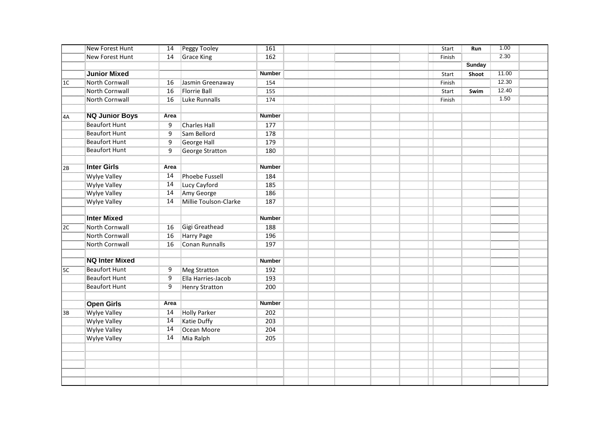|                | New Forest Hunt        | 14   | Peggy Tooley           | 161           |  |  | Start  | Run           | 1.00  |  |
|----------------|------------------------|------|------------------------|---------------|--|--|--------|---------------|-------|--|
|                | <b>New Forest Hunt</b> | 14   | <b>Grace King</b>      | 162           |  |  | Finish |               | 2.30  |  |
|                |                        |      |                        |               |  |  |        | <b>Sunday</b> |       |  |
|                | <b>Junior Mixed</b>    |      |                        | <b>Number</b> |  |  | Start  | Shoot         | 11.00 |  |
| 1 <sup>C</sup> | North Cornwall         | 16   | Jasmin Greenaway       | 154           |  |  | Finish |               | 12.30 |  |
|                | <b>North Cornwall</b>  | 16   | <b>Florrie Ball</b>    | 155           |  |  | Start  | Swim          | 12.40 |  |
|                | North Cornwall         | 16   | Luke Runnalls          | 174           |  |  | Finish |               | 1.50  |  |
|                |                        |      |                        |               |  |  |        |               |       |  |
| 4A             | <b>NQ Junior Boys</b>  | Area |                        | <b>Number</b> |  |  |        |               |       |  |
|                | <b>Beaufort Hunt</b>   | 9    | <b>Charles Hall</b>    | 177           |  |  |        |               |       |  |
|                | <b>Beaufort Hunt</b>   | 9    | Sam Bellord            | 178           |  |  |        |               |       |  |
|                | <b>Beaufort Hunt</b>   | 9    | <b>George Hall</b>     | 179           |  |  |        |               |       |  |
|                | <b>Beaufort Hunt</b>   | 9    | <b>George Stratton</b> | 180           |  |  |        |               |       |  |
|                |                        |      |                        |               |  |  |        |               |       |  |
| 2B             | <b>Inter Girls</b>     | Area |                        | <b>Number</b> |  |  |        |               |       |  |
|                | <b>Wylye Valley</b>    | 14   | <b>Phoebe Fussell</b>  | 184           |  |  |        |               |       |  |
|                | <b>Wylye Valley</b>    | 14   | Lucy Cayford           | 185           |  |  |        |               |       |  |
|                | <b>Wylye Valley</b>    | 14   | Amy George             | 186           |  |  |        |               |       |  |
|                | <b>Wylye Valley</b>    | 14   | Millie Toulson-Clarke  | 187           |  |  |        |               |       |  |
|                |                        |      |                        |               |  |  |        |               |       |  |
|                | <b>Inter Mixed</b>     |      |                        | <b>Number</b> |  |  |        |               |       |  |
| 2C             | <b>North Cornwall</b>  | 16   | Gigi Greathead         | 188           |  |  |        |               |       |  |
|                | North Cornwall         | 16   | <b>Harry Page</b>      | 196           |  |  |        |               |       |  |
|                | North Cornwall         | 16   | Conan Runnalls         | 197           |  |  |        |               |       |  |
|                |                        |      |                        |               |  |  |        |               |       |  |
|                | <b>NQ Inter Mixed</b>  |      |                        | <b>Number</b> |  |  |        |               |       |  |
| 5C             | <b>Beaufort Hunt</b>   | 9    | <b>Meg Stratton</b>    | 192           |  |  |        |               |       |  |
|                | <b>Beaufort Hunt</b>   | 9    | Ella Harries-Jacob     | 193           |  |  |        |               |       |  |
|                | <b>Beaufort Hunt</b>   | 9    | <b>Henry Stratton</b>  | 200           |  |  |        |               |       |  |
|                |                        |      |                        |               |  |  |        |               |       |  |
|                | <b>Open Girls</b>      | Area |                        | <b>Number</b> |  |  |        |               |       |  |
| 3B             | <b>Wylye Valley</b>    | 14   | <b>Holly Parker</b>    | 202           |  |  |        |               |       |  |
|                | <b>Wylye Valley</b>    | 14   | <b>Katie Duffy</b>     | 203           |  |  |        |               |       |  |
|                | <b>Wylye Valley</b>    | 14   | Ocean Moore            | 204           |  |  |        |               |       |  |
|                | <b>Wylye Valley</b>    | 14   | Mia Ralph              | 205           |  |  |        |               |       |  |
|                |                        |      |                        |               |  |  |        |               |       |  |
|                |                        |      |                        |               |  |  |        |               |       |  |
|                |                        |      |                        |               |  |  |        |               |       |  |
|                |                        |      |                        |               |  |  |        |               |       |  |
|                |                        |      |                        |               |  |  |        |               |       |  |